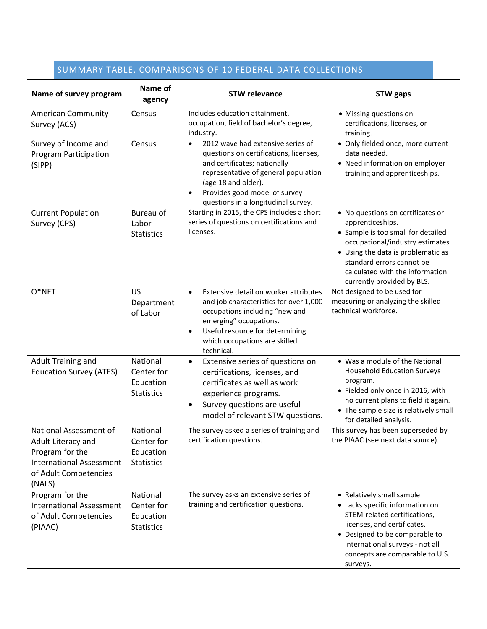| SUMMARY TABLE. COMPARISONS OF 10 FEDERAL DATA COLLECTIONS                                                                             |                                                          |                                                                                                                                                                                                                                                                              |                                                                                                                                                                                                                                                                     |  |  |
|---------------------------------------------------------------------------------------------------------------------------------------|----------------------------------------------------------|------------------------------------------------------------------------------------------------------------------------------------------------------------------------------------------------------------------------------------------------------------------------------|---------------------------------------------------------------------------------------------------------------------------------------------------------------------------------------------------------------------------------------------------------------------|--|--|
| Name of survey program                                                                                                                | Name of<br>agency                                        | <b>STW relevance</b>                                                                                                                                                                                                                                                         | <b>STW</b> gaps                                                                                                                                                                                                                                                     |  |  |
| <b>American Community</b><br>Survey (ACS)                                                                                             | Census                                                   | Includes education attainment,<br>occupation, field of bachelor's degree,<br>industry.                                                                                                                                                                                       | • Missing questions on<br>certifications, licenses, or<br>training.                                                                                                                                                                                                 |  |  |
| Survey of Income and<br><b>Program Participation</b><br>(SIPP)                                                                        | Census                                                   | 2012 wave had extensive series of<br>$\bullet$<br>questions on certifications, licenses,<br>and certificates; nationally<br>representative of general population<br>(age 18 and older).<br>Provides good model of survey<br>$\bullet$<br>questions in a longitudinal survey. | • Only fielded once, more current<br>data needed.<br>• Need information on employer<br>training and apprenticeships.                                                                                                                                                |  |  |
| <b>Current Population</b><br>Survey (CPS)                                                                                             | Bureau of<br>Labor<br><b>Statistics</b>                  | Starting in 2015, the CPS includes a short<br>series of questions on certifications and<br>licenses.                                                                                                                                                                         | • No questions on certificates or<br>apprenticeships.<br>• Sample is too small for detailed<br>occupational/industry estimates.<br>• Using the data is problematic as<br>standard errors cannot be<br>calculated with the information<br>currently provided by BLS. |  |  |
| $O*NET$                                                                                                                               | US<br>Department<br>of Labor                             | Extensive detail on worker attributes<br>$\bullet$<br>and job characteristics for over 1,000<br>occupations including "new and<br>emerging" occupations.<br>Useful resource for determining<br>$\bullet$<br>which occupations are skilled<br>technical.                      | Not designed to be used for<br>measuring or analyzing the skilled<br>technical workforce.                                                                                                                                                                           |  |  |
| <b>Adult Training and</b><br><b>Education Survey (ATES)</b>                                                                           | National<br>Center for<br>Education<br><b>Statistics</b> | Extensive series of questions on<br>$\bullet$<br>certifications, licenses, and<br>certificates as well as work<br>experience programs.<br>Survey questions are useful<br>٠<br>model of relevant STW questions.                                                               | • Was a module of the National<br><b>Household Education Surveys</b><br>program.<br>• Fielded only once in 2016, with<br>no current plans to field it again.<br>• The sample size is relatively small<br>for detailed analysis.                                     |  |  |
| National Assessment of<br>Adult Literacy and<br>Program for the<br><b>International Assessment</b><br>of Adult Competencies<br>(NALS) | National<br>Center for<br>Education<br><b>Statistics</b> | The survey asked a series of training and<br>certification questions.                                                                                                                                                                                                        | This survey has been superseded by<br>the PIAAC (see next data source).                                                                                                                                                                                             |  |  |
| Program for the<br><b>International Assessment</b><br>of Adult Competencies<br>(PIAAC)                                                | National<br>Center for<br>Education<br><b>Statistics</b> | The survey asks an extensive series of<br>training and certification questions.                                                                                                                                                                                              | • Relatively small sample<br>• Lacks specific information on<br>STEM-related certifications,<br>licenses, and certificates.<br>• Designed to be comparable to<br>international surveys - not all<br>concepts are comparable to U.S.<br>surveys.                     |  |  |